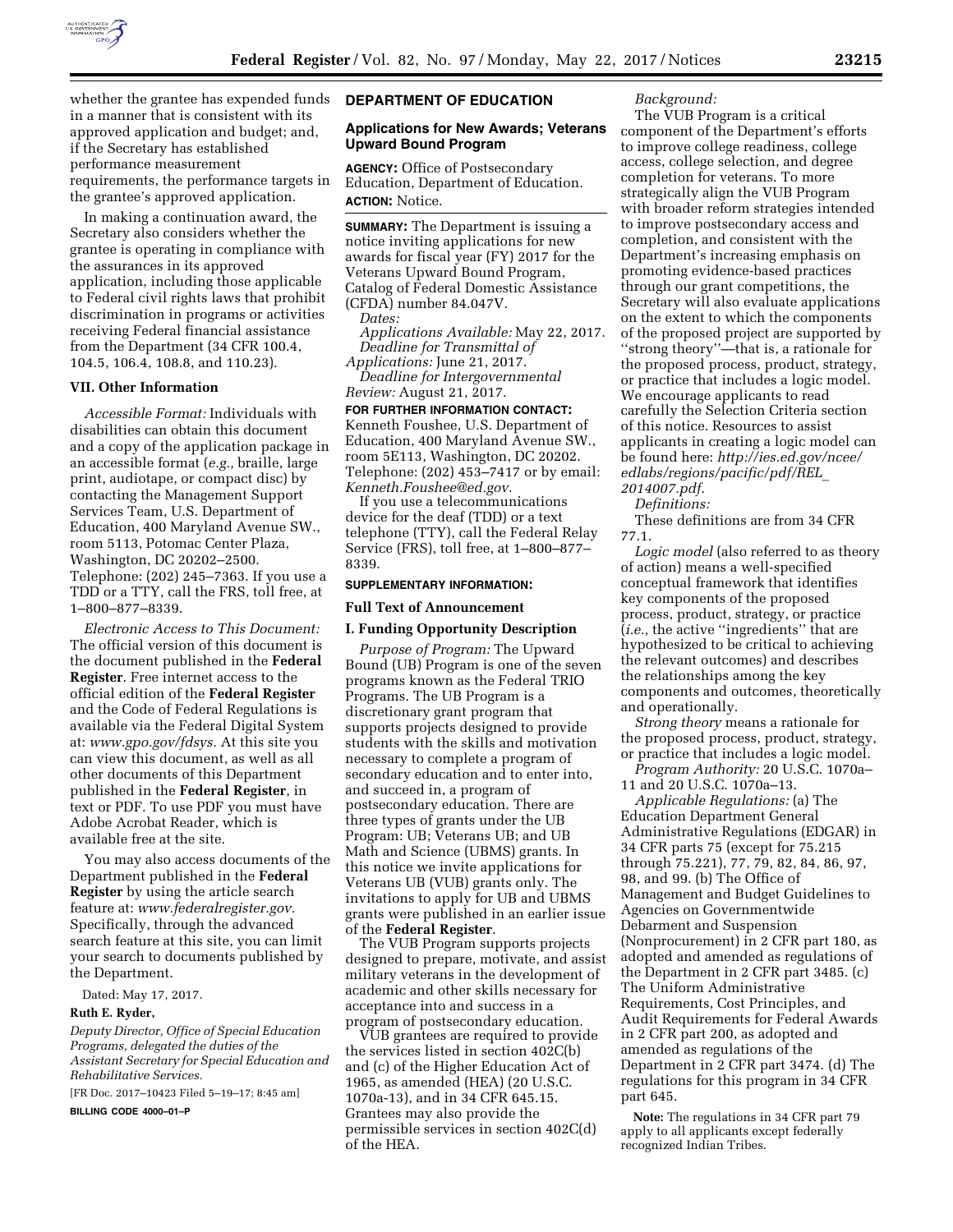

whether the grantee has expended funds in a manner that is consistent with its approved application and budget; and, if the Secretary has established performance measurement requirements, the performance targets in the grantee's approved application.

In making a continuation award, the Secretary also considers whether the grantee is operating in compliance with the assurances in its approved application, including those applicable to Federal civil rights laws that prohibit discrimination in programs or activities receiving Federal financial assistance from the Department (34 CFR 100.4, 104.5, 106.4, 108.8, and 110.23).

### **VII. Other Information**

*Accessible Format:* Individuals with disabilities can obtain this document and a copy of the application package in an accessible format (*e.g.,* braille, large print, audiotape, or compact disc) by contacting the Management Support Services Team, U.S. Department of Education, 400 Maryland Avenue SW., room 5113, Potomac Center Plaza, Washington, DC 20202–2500. Telephone: (202) 245–7363. If you use a TDD or a TTY, call the FRS, toll free, at 1–800–877–8339.

*Electronic Access to This Document:*  The official version of this document is the document published in the **Federal Register**. Free internet access to the official edition of the **Federal Register**  and the Code of Federal Regulations is available via the Federal Digital System at: *[www.gpo.gov/fdsys.](http://www.gpo.gov/fdsys)* At this site you can view this document, as well as all other documents of this Department published in the **Federal Register**, in text or PDF. To use PDF you must have Adobe Acrobat Reader, which is available free at the site.

You may also access documents of the Department published in the **Federal Register** by using the article search feature at: *[www.federalregister.gov.](http://www.federalregister.gov)*  Specifically, through the advanced search feature at this site, you can limit your search to documents published by the Department.

Dated: May 17, 2017.

#### **Ruth E. Ryder,**

*Deputy Director, Office of Special Education Programs, delegated the duties of the Assistant Secretary for Special Education and Rehabilitative Services.* 

[FR Doc. 2017–10423 Filed 5–19–17; 8:45 am]

**BILLING CODE 4000–01–P** 

#### **DEPARTMENT OF EDUCATION**

### **Applications for New Awards; Veterans Upward Bound Program**

**AGENCY:** Office of Postsecondary Education, Department of Education. **ACTION:** Notice.

**SUMMARY:** The Department is issuing a notice inviting applications for new awards for fiscal year (FY) 2017 for the Veterans Upward Bound Program, Catalog of Federal Domestic Assistance (CFDA) number 84.047V.

*Dates:* 

*Applications Available:* May 22, 2017. *Deadline for Transmittal of Applications:* June 21, 2017.

*Deadline for Intergovernmental Review:* August 21, 2017.

### **FOR FURTHER INFORMATION CONTACT:**

Kenneth Foushee, U.S. Department of Education, 400 Maryland Avenue SW., room 5E113, Washington, DC 20202. Telephone: (202) 453–7417 or by email: *[Kenneth.Foushee@ed.gov.](mailto:Kenneth.Foushee@ed.gov)* 

If you use a telecommunications device for the deaf (TDD) or a text telephone (TTY), call the Federal Relay Service (FRS), toll free, at 1–800–877– 8339.

#### **SUPPLEMENTARY INFORMATION:**

### **Full Text of Announcement**

# **I. Funding Opportunity Description**

*Purpose of Program:* The Upward Bound (UB) Program is one of the seven programs known as the Federal TRIO Programs. The UB Program is a discretionary grant program that supports projects designed to provide students with the skills and motivation necessary to complete a program of secondary education and to enter into, and succeed in, a program of postsecondary education. There are three types of grants under the UB Program: UB; Veterans UB; and UB Math and Science (UBMS) grants. In this notice we invite applications for Veterans UB (VUB) grants only. The invitations to apply for UB and UBMS grants were published in an earlier issue of the **Federal Register**.

The VUB Program supports projects designed to prepare, motivate, and assist military veterans in the development of academic and other skills necessary for acceptance into and success in a program of postsecondary education.

VUB grantees are required to provide the services listed in section 402C(b) and (c) of the Higher Education Act of 1965, as amended (HEA) (20 U.S.C. 1070a-13), and in 34 CFR 645.15. Grantees may also provide the permissible services in section 402C(d) of the HEA.

## *Background:*

The VUB Program is a critical component of the Department's efforts to improve college readiness, college access, college selection, and degree completion for veterans. To more strategically align the VUB Program with broader reform strategies intended to improve postsecondary access and completion, and consistent with the Department's increasing emphasis on promoting evidence-based practices through our grant competitions, the Secretary will also evaluate applications on the extent to which the components of the proposed project are supported by ''strong theory''—that is, a rationale for the proposed process, product, strategy, or practice that includes a logic model. We encourage applicants to read carefully the Selection Criteria section of this notice. Resources to assist applicants in creating a logic model can be found here: *[http://ies.ed.gov/ncee/](http://ies.ed.gov/ncee/edlabs/regions/pacific/pdf/REL_2014007.pdf)  [edlabs/regions/pacific/pdf/REL](http://ies.ed.gov/ncee/edlabs/regions/pacific/pdf/REL_2014007.pdf)*\_ *[2014007.pdf.](http://ies.ed.gov/ncee/edlabs/regions/pacific/pdf/REL_2014007.pdf)* 

*Definitions:* 

These definitions are from 34 CFR 77.1.

*Logic model* (also referred to as theory of action) means a well-specified conceptual framework that identifies key components of the proposed process, product, strategy, or practice (*i.e.,* the active ''ingredients'' that are hypothesized to be critical to achieving the relevant outcomes) and describes the relationships among the key components and outcomes, theoretically and operationally.

*Strong theory* means a rationale for the proposed process, product, strategy, or practice that includes a logic model.

*Program Authority:* 20 U.S.C. 1070a– 11 and 20 U.S.C. 1070a–13.

*Applicable Regulations:* (a) The Education Department General Administrative Regulations (EDGAR) in 34 CFR parts 75 (except for 75.215 through 75.221), 77, 79, 82, 84, 86, 97, 98, and 99. (b) The Office of Management and Budget Guidelines to Agencies on Governmentwide Debarment and Suspension (Nonprocurement) in 2 CFR part 180, as adopted and amended as regulations of the Department in 2 CFR part 3485. (c) The Uniform Administrative Requirements, Cost Principles, and Audit Requirements for Federal Awards in 2 CFR part 200, as adopted and amended as regulations of the Department in 2 CFR part 3474. (d) The regulations for this program in 34 CFR part 645.

**Note:** The regulations in 34 CFR part 79 apply to all applicants except federally recognized Indian Tribes.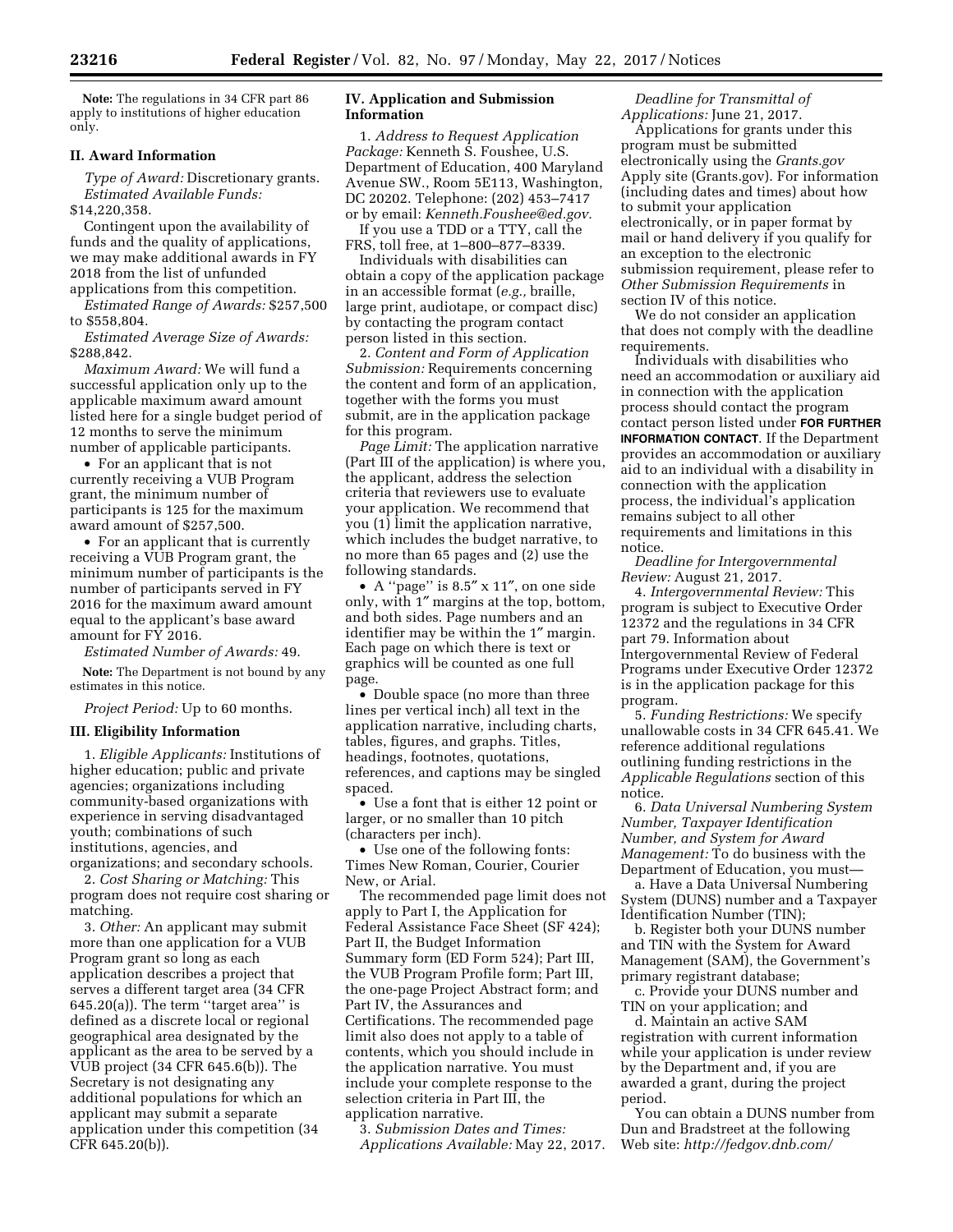**Note:** The regulations in 34 CFR part 86 apply to institutions of higher education only.

### **II. Award Information**

*Type of Award:* Discretionary grants. *Estimated Available Funds:*  \$14,220,358.

Contingent upon the availability of funds and the quality of applications, we may make additional awards in FY 2018 from the list of unfunded applications from this competition.

*Estimated Range of Awards:* \$257,500 to \$558,804.

*Estimated Average Size of Awards:*  \$288,842.

*Maximum Award:* We will fund a successful application only up to the applicable maximum award amount listed here for a single budget period of 12 months to serve the minimum number of applicable participants.

• For an applicant that is not currently receiving a VUB Program grant, the minimum number of participants is 125 for the maximum award amount of \$257,500.

• For an applicant that is currently receiving a VUB Program grant, the minimum number of participants is the number of participants served in FY 2016 for the maximum award amount equal to the applicant's base award amount for FY 2016.

*Estimated Number of Awards:* 49.

**Note:** The Department is not bound by any estimates in this notice.

*Project Period:* Up to 60 months.

## **III. Eligibility Information**

1. *Eligible Applicants:* Institutions of higher education; public and private agencies; organizations including community-based organizations with experience in serving disadvantaged youth; combinations of such institutions, agencies, and organizations; and secondary schools.

2. *Cost Sharing or Matching:* This program does not require cost sharing or matching.

3. *Other:* An applicant may submit more than one application for a VUB Program grant so long as each application describes a project that serves a different target area (34 CFR  $645.20(a)$ ). The term "target area" is defined as a discrete local or regional geographical area designated by the applicant as the area to be served by a VUB project (34 CFR 645.6(b)). The Secretary is not designating any additional populations for which an applicant may submit a separate application under this competition (34 CFR 645.20(b)).

## **IV. Application and Submission Information**

1. *Address to Request Application Package:* Kenneth S. Foushee, U.S. Department of Education, 400 Maryland Avenue SW., Room 5E113, Washington, DC 20202. Telephone: (202) 453–7417 or by email: *[Kenneth.Foushee@ed.gov.](mailto:Kenneth.Foushee@ed.gov)* 

If you use a TDD or a TTY, call the FRS, toll free, at 1–800–877–8339.

Individuals with disabilities can obtain a copy of the application package in an accessible format (*e.g.,* braille, large print, audiotape, or compact disc) by contacting the program contact person listed in this section.

2. *Content and Form of Application Submission:* Requirements concerning the content and form of an application, together with the forms you must submit, are in the application package for this program.

*Page Limit:* The application narrative (Part III of the application) is where you, the applicant, address the selection criteria that reviewers use to evaluate your application. We recommend that you (1) limit the application narrative, which includes the budget narrative, to no more than 65 pages and (2) use the following standards.

• A ''page'' is 8.5″ x 11″, on one side only, with 1″ margins at the top, bottom, and both sides. Page numbers and an identifier may be within the 1″ margin. Each page on which there is text or graphics will be counted as one full page.

• Double space (no more than three lines per vertical inch) all text in the application narrative, including charts, tables, figures, and graphs. Titles, headings, footnotes, quotations, references, and captions may be singled spaced.

• Use a font that is either 12 point or larger, or no smaller than 10 pitch (characters per inch).

• Use one of the following fonts: Times New Roman, Courier, Courier New, or Arial.

The recommended page limit does not apply to Part I, the Application for Federal Assistance Face Sheet (SF 424); Part II, the Budget Information Summary form (ED Form 524); Part III, the VUB Program Profile form; Part III, the one-page Project Abstract form; and Part IV, the Assurances and Certifications. The recommended page limit also does not apply to a table of contents, which you should include in the application narrative. You must include your complete response to the selection criteria in Part III, the application narrative.

3. *Submission Dates and Times: Applications Available:* May 22, 2017.

*Deadline for Transmittal of Applications:* June 21, 2017.

Applications for grants under this program must be submitted electronically using the *Grants.gov*  Apply site (Grants.gov). For information (including dates and times) about how to submit your application electronically, or in paper format by mail or hand delivery if you qualify for an exception to the electronic submission requirement, please refer to *Other Submission Requirements* in section IV of this notice.

We do not consider an application that does not comply with the deadline requirements.

Individuals with disabilities who need an accommodation or auxiliary aid in connection with the application process should contact the program contact person listed under **FOR FURTHER INFORMATION CONTACT**. If the Department provides an accommodation or auxiliary aid to an individual with a disability in connection with the application process, the individual's application remains subject to all other requirements and limitations in this notice.

*Deadline for Intergovernmental Review:* August 21, 2017.

4. *Intergovernmental Review:* This program is subject to Executive Order 12372 and the regulations in 34 CFR part 79. Information about Intergovernmental Review of Federal Programs under Executive Order 12372 is in the application package for this program.

5. *Funding Restrictions:* We specify unallowable costs in 34 CFR 645.41. We reference additional regulations outlining funding restrictions in the *Applicable Regulations* section of this notice.

6. *Data Universal Numbering System Number, Taxpayer Identification Number, and System for Award Management:* To do business with the Department of Education, you must—

a. Have a Data Universal Numbering System (DUNS) number and a Taxpayer Identification Number (TIN);

b. Register both your DUNS number and TIN with the System for Award Management (SAM), the Government's primary registrant database;

c. Provide your DUNS number and TIN on your application; and

d. Maintain an active SAM registration with current information while your application is under review by the Department and, if you are awarded a grant, during the project period.

You can obtain a DUNS number from Dun and Bradstreet at the following Web site: *<http://fedgov.dnb.com/>*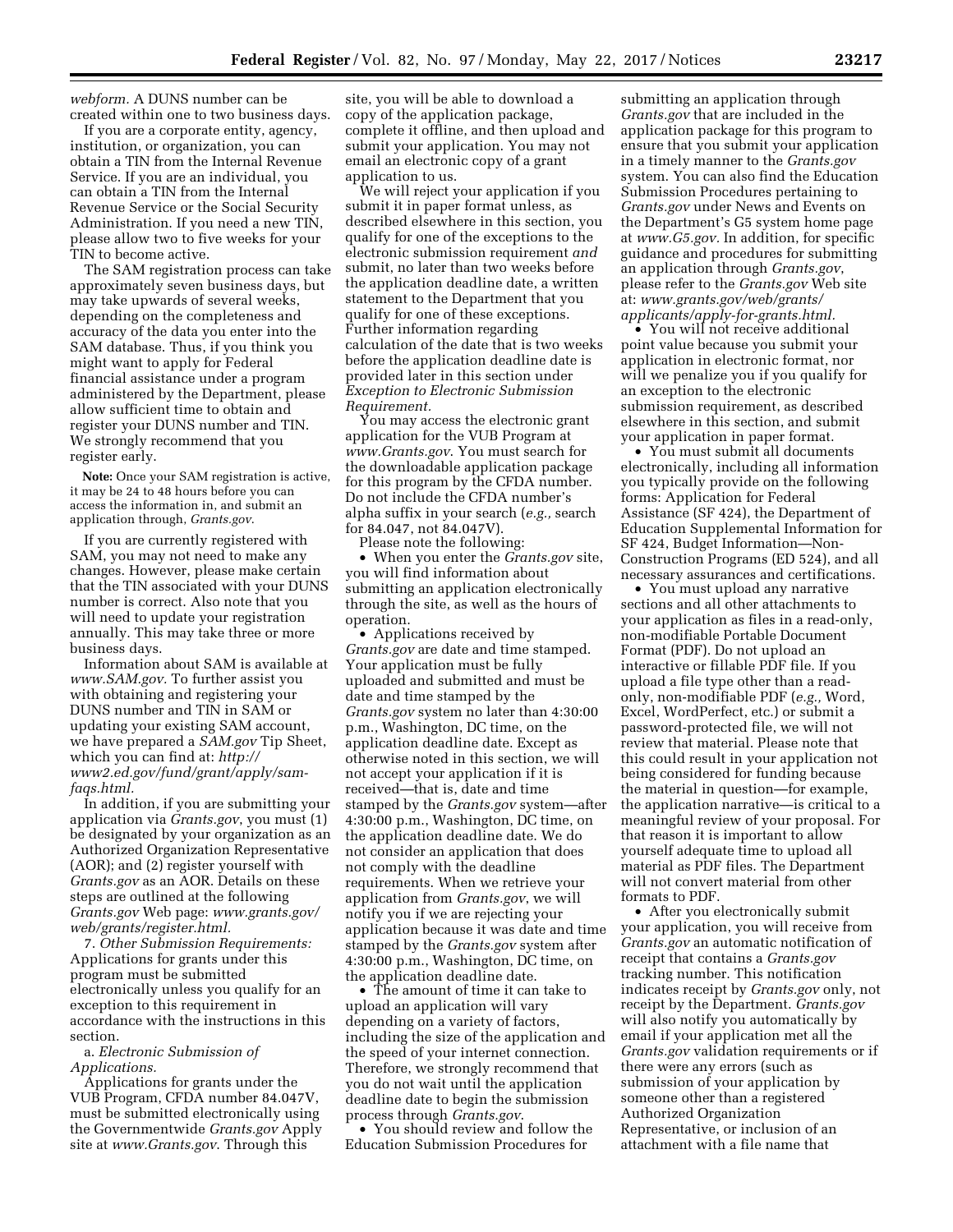*webform.* A DUNS number can be created within one to two business days.

If you are a corporate entity, agency, institution, or organization, you can obtain a TIN from the Internal Revenue Service. If you are an individual, you can obtain a TIN from the Internal Revenue Service or the Social Security Administration. If you need a new TIN, please allow two to five weeks for your TIN to become active.

The SAM registration process can take approximately seven business days, but may take upwards of several weeks, depending on the completeness and accuracy of the data you enter into the SAM database. Thus, if you think you might want to apply for Federal financial assistance under a program administered by the Department, please allow sufficient time to obtain and register your DUNS number and TIN. We strongly recommend that you register early.

**Note:** Once your SAM registration is active, it may be 24 to 48 hours before you can access the information in, and submit an application through, *Grants.gov*.

If you are currently registered with SAM, you may not need to make any changes. However, please make certain that the TIN associated with your DUNS number is correct. Also note that you will need to update your registration annually. This may take three or more business days.

Information about SAM is available at *[www.SAM.gov.](http://www.SAM.gov)* To further assist you with obtaining and registering your DUNS number and TIN in SAM or updating your existing SAM account, we have prepared a *SAM.gov* Tip Sheet, which you can find at: *[http://](http://www2.ed.gov/fund/grant/apply/sam-faqs.html) [www2.ed.gov/fund/grant/apply/sam](http://www2.ed.gov/fund/grant/apply/sam-faqs.html)[faqs.html.](http://www2.ed.gov/fund/grant/apply/sam-faqs.html)* 

In addition, if you are submitting your application via *Grants.gov*, you must (1) be designated by your organization as an Authorized Organization Representative (AOR); and (2) register yourself with *Grants.gov* as an AOR. Details on these steps are outlined at the following *Grants.gov* Web page: *[www.grants.gov/](http://www.grants.gov/web/grants/register.html) [web/grants/register.html.](http://www.grants.gov/web/grants/register.html)* 

7. *Other Submission Requirements:*  Applications for grants under this program must be submitted electronically unless you qualify for an exception to this requirement in accordance with the instructions in this section.

a. *Electronic Submission of Applications.* 

Applications for grants under the VUB Program, CFDA number 84.047V, must be submitted electronically using the Governmentwide *Grants.gov* Apply site at *[www.Grants.gov](http://www.Grants.gov)*. Through this

site, you will be able to download a copy of the application package, complete it offline, and then upload and submit your application. You may not email an electronic copy of a grant application to us.

We will reject your application if you submit it in paper format unless, as described elsewhere in this section, you qualify for one of the exceptions to the electronic submission requirement *and*  submit, no later than two weeks before the application deadline date, a written statement to the Department that you qualify for one of these exceptions. Further information regarding calculation of the date that is two weeks before the application deadline date is provided later in this section under *Exception to Electronic Submission Requirement.* 

You may access the electronic grant application for the VUB Program at *[www.Grants.gov](http://www.Grants.gov)*. You must search for the downloadable application package for this program by the CFDA number. Do not include the CFDA number's alpha suffix in your search (*e.g.,* search for 84.047, not 84.047V).

Please note the following: • When you enter the *Grants.gov* site, you will find information about submitting an application electronically through the site, as well as the hours of operation.

• Applications received by *Grants.gov* are date and time stamped. Your application must be fully uploaded and submitted and must be date and time stamped by the *Grants.gov* system no later than 4:30:00 p.m., Washington, DC time, on the application deadline date. Except as otherwise noted in this section, we will not accept your application if it is received—that is, date and time stamped by the *Grants.gov* system—after 4:30:00 p.m., Washington, DC time, on the application deadline date. We do not consider an application that does not comply with the deadline requirements. When we retrieve your application from *Grants.gov*, we will notify you if we are rejecting your application because it was date and time stamped by the *Grants.gov* system after 4:30:00 p.m., Washington, DC time, on the application deadline date.

• The amount of time it can take to upload an application will vary depending on a variety of factors, including the size of the application and the speed of your internet connection. Therefore, we strongly recommend that you do not wait until the application deadline date to begin the submission process through *Grants.gov*.

• You should review and follow the Education Submission Procedures for

submitting an application through *Grants.gov* that are included in the application package for this program to ensure that you submit your application in a timely manner to the *Grants.gov*  system. You can also find the Education Submission Procedures pertaining to *Grants.gov* under News and Events on the Department's G5 system home page at *[www.G5.gov.](http://www.G5.gov)* In addition, for specific guidance and procedures for submitting an application through *Grants.gov*, please refer to the *Grants.gov* Web site at: *[www.grants.gov/web/grants/](http://www.grants.gov/web/grants/applicants/apply-for-grants.html)  [applicants/apply-for-grants.html.](http://www.grants.gov/web/grants/applicants/apply-for-grants.html)* 

• You will not receive additional point value because you submit your application in electronic format, nor will we penalize you if you qualify for an exception to the electronic submission requirement, as described elsewhere in this section, and submit your application in paper format.

• You must submit all documents electronically, including all information you typically provide on the following forms: Application for Federal Assistance (SF 424), the Department of Education Supplemental Information for SF 424, Budget Information—Non-Construction Programs (ED 524), and all necessary assurances and certifications.

• You must upload any narrative sections and all other attachments to your application as files in a read-only, non-modifiable Portable Document Format (PDF). Do not upload an interactive or fillable PDF file. If you upload a file type other than a readonly, non-modifiable PDF (*e.g.,* Word, Excel, WordPerfect, etc.) or submit a password-protected file, we will not review that material. Please note that this could result in your application not being considered for funding because the material in question—for example, the application narrative—is critical to a meaningful review of your proposal. For that reason it is important to allow yourself adequate time to upload all material as PDF files. The Department will not convert material from other formats to PDF.

• After you electronically submit your application, you will receive from *Grants.gov* an automatic notification of receipt that contains a *Grants.gov*  tracking number. This notification indicates receipt by *Grants.gov* only, not receipt by the Department. *Grants.gov*  will also notify you automatically by email if your application met all the *Grants.gov* validation requirements or if there were any errors (such as submission of your application by someone other than a registered Authorized Organization Representative, or inclusion of an attachment with a file name that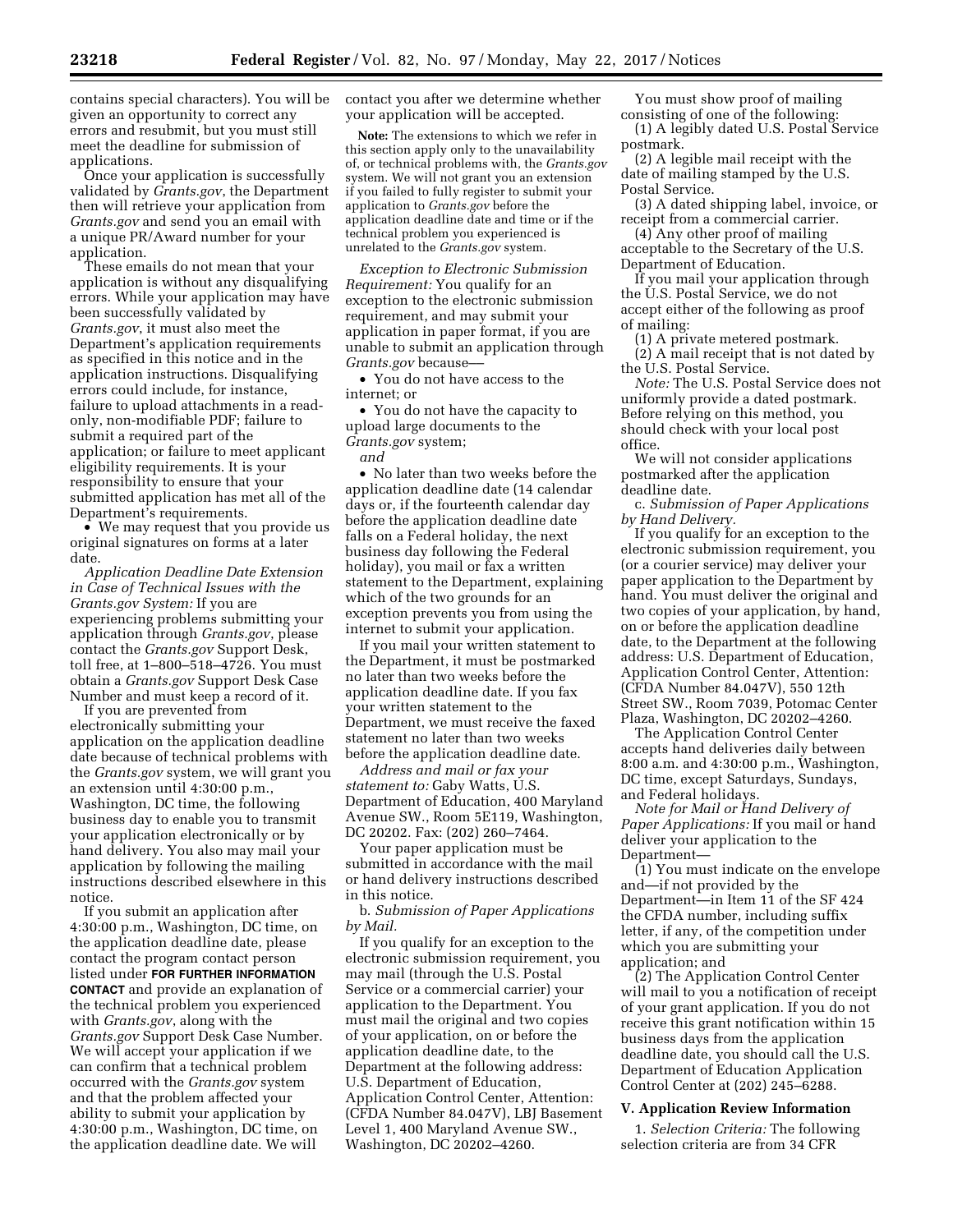Once your application is successfully validated by *Grants.gov*, the Department then will retrieve your application from *Grants.gov* and send you an email with a unique PR/Award number for your application.

These emails do not mean that your application is without any disqualifying errors. While your application may have been successfully validated by *Grants.gov*, it must also meet the Department's application requirements as specified in this notice and in the application instructions. Disqualifying errors could include, for instance, failure to upload attachments in a readonly, non-modifiable PDF; failure to submit a required part of the application; or failure to meet applicant eligibility requirements. It is your responsibility to ensure that your submitted application has met all of the Department's requirements.

• We may request that you provide us original signatures on forms at a later date.

*Application Deadline Date Extension in Case of Technical Issues with the Grants.gov System:* If you are experiencing problems submitting your application through *Grants.gov*, please contact the *Grants.gov* Support Desk, toll free, at 1–800–518–4726. You must obtain a *Grants.gov* Support Desk Case Number and must keep a record of it.

If you are prevented from electronically submitting your application on the application deadline date because of technical problems with the *Grants.gov* system, we will grant you an extension until 4:30:00 p.m., Washington, DC time, the following business day to enable you to transmit your application electronically or by hand delivery. You also may mail your application by following the mailing instructions described elsewhere in this notice.

If you submit an application after 4:30:00 p.m., Washington, DC time, on the application deadline date, please contact the program contact person listed under **FOR FURTHER INFORMATION CONTACT** and provide an explanation of the technical problem you experienced with *Grants.gov*, along with the *Grants.gov* Support Desk Case Number. We will accept your application if we can confirm that a technical problem occurred with the *Grants.gov* system and that the problem affected your ability to submit your application by 4:30:00 p.m., Washington, DC time, on the application deadline date. We will

contact you after we determine whether your application will be accepted.

**Note:** The extensions to which we refer in this section apply only to the unavailability of, or technical problems with, the *Grants.gov*  system. We will not grant you an extension if you failed to fully register to submit your application to *Grants.gov* before the application deadline date and time or if the technical problem you experienced is unrelated to the *Grants.gov* system.

*Exception to Electronic Submission Requirement:* You qualify for an exception to the electronic submission requirement, and may submit your application in paper format, if you are unable to submit an application through *Grants.gov* because––

• You do not have access to the internet; or

• You do not have the capacity to upload large documents to the *Grants.gov* system;

*and* 

• No later than two weeks before the application deadline date (14 calendar days or, if the fourteenth calendar day before the application deadline date falls on a Federal holiday, the next business day following the Federal holiday), you mail or fax a written statement to the Department, explaining which of the two grounds for an exception prevents you from using the internet to submit your application.

If you mail your written statement to the Department, it must be postmarked no later than two weeks before the application deadline date. If you fax your written statement to the Department, we must receive the faxed statement no later than two weeks before the application deadline date.

*Address and mail or fax your statement to:* Gaby Watts, U.S. Department of Education, 400 Maryland Avenue SW., Room 5E119, Washington, DC 20202. Fax: (202) 260–7464.

Your paper application must be submitted in accordance with the mail or hand delivery instructions described in this notice.

b. *Submission of Paper Applications by Mail.* 

If you qualify for an exception to the electronic submission requirement, you may mail (through the U.S. Postal Service or a commercial carrier) your application to the Department. You must mail the original and two copies of your application, on or before the application deadline date, to the Department at the following address: U.S. Department of Education, Application Control Center, Attention: (CFDA Number 84.047V), LBJ Basement Level 1, 400 Maryland Avenue SW., Washington, DC 20202–4260.

You must show proof of mailing consisting of one of the following:

(1) A legibly dated U.S. Postal Service postmark.

(2) A legible mail receipt with the date of mailing stamped by the U.S. Postal Service.

(3) A dated shipping label, invoice, or receipt from a commercial carrier.

(4) Any other proof of mailing acceptable to the Secretary of the U.S. Department of Education.

If you mail your application through the U.S. Postal Service, we do not accept either of the following as proof of mailing:

(1) A private metered postmark. (2) A mail receipt that is not dated by the U.S. Postal Service.

*Note:* The U.S. Postal Service does not uniformly provide a dated postmark. Before relying on this method, you should check with your local post office.

We will not consider applications postmarked after the application deadline date.

c. *Submission of Paper Applications by Hand Delivery.* 

If you qualify for an exception to the electronic submission requirement, you (or a courier service) may deliver your paper application to the Department by hand. You must deliver the original and two copies of your application, by hand, on or before the application deadline date, to the Department at the following address: U.S. Department of Education, Application Control Center, Attention: (CFDA Number 84.047V), 550 12th Street SW., Room 7039, Potomac Center Plaza, Washington, DC 20202–4260.

The Application Control Center accepts hand deliveries daily between 8:00 a.m. and 4:30:00 p.m., Washington, DC time, except Saturdays, Sundays, and Federal holidays.

*Note for Mail or Hand Delivery of Paper Applications:* If you mail or hand deliver your application to the Department—

(1) You must indicate on the envelope and—if not provided by the Department—in Item 11 of the SF 424 the CFDA number, including suffix letter, if any, of the competition under which you are submitting your application; and

(2) The Application Control Center will mail to you a notification of receipt of your grant application. If you do not receive this grant notification within 15 business days from the application deadline date, you should call the U.S. Department of Education Application Control Center at (202) 245–6288.

#### **V. Application Review Information**

1. *Selection Criteria:* The following selection criteria are from 34 CFR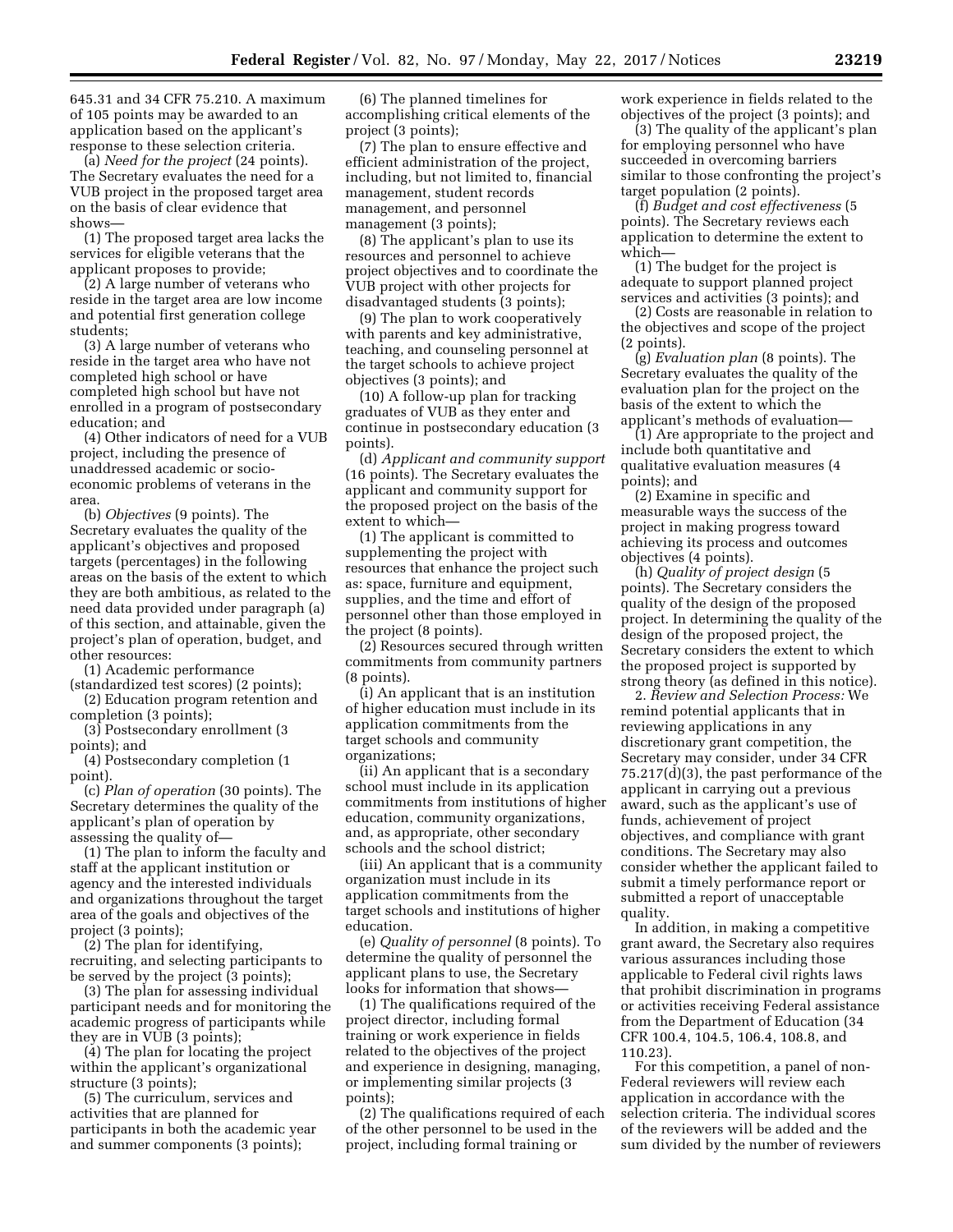645.31 and 34 CFR 75.210. A maximum of 105 points may be awarded to an application based on the applicant's response to these selection criteria.

(a) *Need for the project* (24 points). The Secretary evaluates the need for a VUB project in the proposed target area on the basis of clear evidence that shows—

(1) The proposed target area lacks the services for eligible veterans that the applicant proposes to provide;

(2) A large number of veterans who reside in the target area are low income and potential first generation college students;

(3) A large number of veterans who reside in the target area who have not completed high school or have completed high school but have not enrolled in a program of postsecondary education; and

(4) Other indicators of need for a VUB project, including the presence of unaddressed academic or socioeconomic problems of veterans in the area.

(b) *Objectives* (9 points). The Secretary evaluates the quality of the applicant's objectives and proposed targets (percentages) in the following areas on the basis of the extent to which they are both ambitious, as related to the need data provided under paragraph (a) of this section, and attainable, given the project's plan of operation, budget, and other resources:

(1) Academic performance

(standardized test scores) (2 points); (2) Education program retention and

completion (3 points); (3) Postsecondary enrollment (3

points); and

(4) Postsecondary completion (1 point).

(c) *Plan of operation* (30 points). The Secretary determines the quality of the applicant's plan of operation by assessing the quality of—

(1) The plan to inform the faculty and staff at the applicant institution or agency and the interested individuals and organizations throughout the target area of the goals and objectives of the project (3 points);

(2) The plan for identifying, recruiting, and selecting participants to be served by the project (3 points);

(3) The plan for assessing individual participant needs and for monitoring the academic progress of participants while they are in VUB (3 points);

(4) The plan for locating the project within the applicant's organizational structure (3 points);

(5) The curriculum, services and activities that are planned for participants in both the academic year and summer components (3 points);

(6) The planned timelines for accomplishing critical elements of the project (3 points);

(7) The plan to ensure effective and efficient administration of the project, including, but not limited to, financial management, student records management, and personnel management (3 points);

(8) The applicant's plan to use its resources and personnel to achieve project objectives and to coordinate the VUB project with other projects for disadvantaged students (3 points);

(9) The plan to work cooperatively with parents and key administrative, teaching, and counseling personnel at the target schools to achieve project objectives (3 points); and

(10) A follow-up plan for tracking graduates of VUB as they enter and continue in postsecondary education (3 points).

(d) *Applicant and community support*  (16 points). The Secretary evaluates the applicant and community support for the proposed project on the basis of the extent to which—

(1) The applicant is committed to supplementing the project with resources that enhance the project such as: space, furniture and equipment, supplies, and the time and effort of personnel other than those employed in the project (8 points).

(2) Resources secured through written commitments from community partners (8 points).

(i) An applicant that is an institution of higher education must include in its application commitments from the target schools and community organizations;

(ii) An applicant that is a secondary school must include in its application commitments from institutions of higher education, community organizations, and, as appropriate, other secondary schools and the school district;

(iii) An applicant that is a community organization must include in its application commitments from the target schools and institutions of higher education.

(e) *Quality of personnel* (8 points). To determine the quality of personnel the applicant plans to use, the Secretary looks for information that shows—

(1) The qualifications required of the project director, including formal training or work experience in fields related to the objectives of the project and experience in designing, managing, or implementing similar projects (3 points);

(2) The qualifications required of each of the other personnel to be used in the project, including formal training or

work experience in fields related to the objectives of the project (3 points); and

(3) The quality of the applicant's plan for employing personnel who have succeeded in overcoming barriers similar to those confronting the project's target population (2 points).

(f) *Budget and cost effectiveness* (5 points). The Secretary reviews each application to determine the extent to which—

(1) The budget for the project is adequate to support planned project services and activities (3 points); and

(2) Costs are reasonable in relation to the objectives and scope of the project (2 points).

(g) *Evaluation plan* (8 points). The Secretary evaluates the quality of the evaluation plan for the project on the basis of the extent to which the applicant's methods of evaluation—

(1) Are appropriate to the project and include both quantitative and qualitative evaluation measures (4 points); and

(2) Examine in specific and measurable ways the success of the project in making progress toward achieving its process and outcomes objectives (4 points).

(h) *Quality of project design* (5 points). The Secretary considers the quality of the design of the proposed project. In determining the quality of the design of the proposed project, the Secretary considers the extent to which the proposed project is supported by strong theory (as defined in this notice).

2. *Review and Selection Process:* We remind potential applicants that in reviewing applications in any discretionary grant competition, the Secretary may consider, under 34 CFR 75.217(d)(3), the past performance of the applicant in carrying out a previous award, such as the applicant's use of funds, achievement of project objectives, and compliance with grant conditions. The Secretary may also consider whether the applicant failed to submit a timely performance report or submitted a report of unacceptable quality.

In addition, in making a competitive grant award, the Secretary also requires various assurances including those applicable to Federal civil rights laws that prohibit discrimination in programs or activities receiving Federal assistance from the Department of Education (34 CFR 100.4, 104.5, 106.4, 108.8, and 110.23).

For this competition, a panel of non-Federal reviewers will review each application in accordance with the selection criteria. The individual scores of the reviewers will be added and the sum divided by the number of reviewers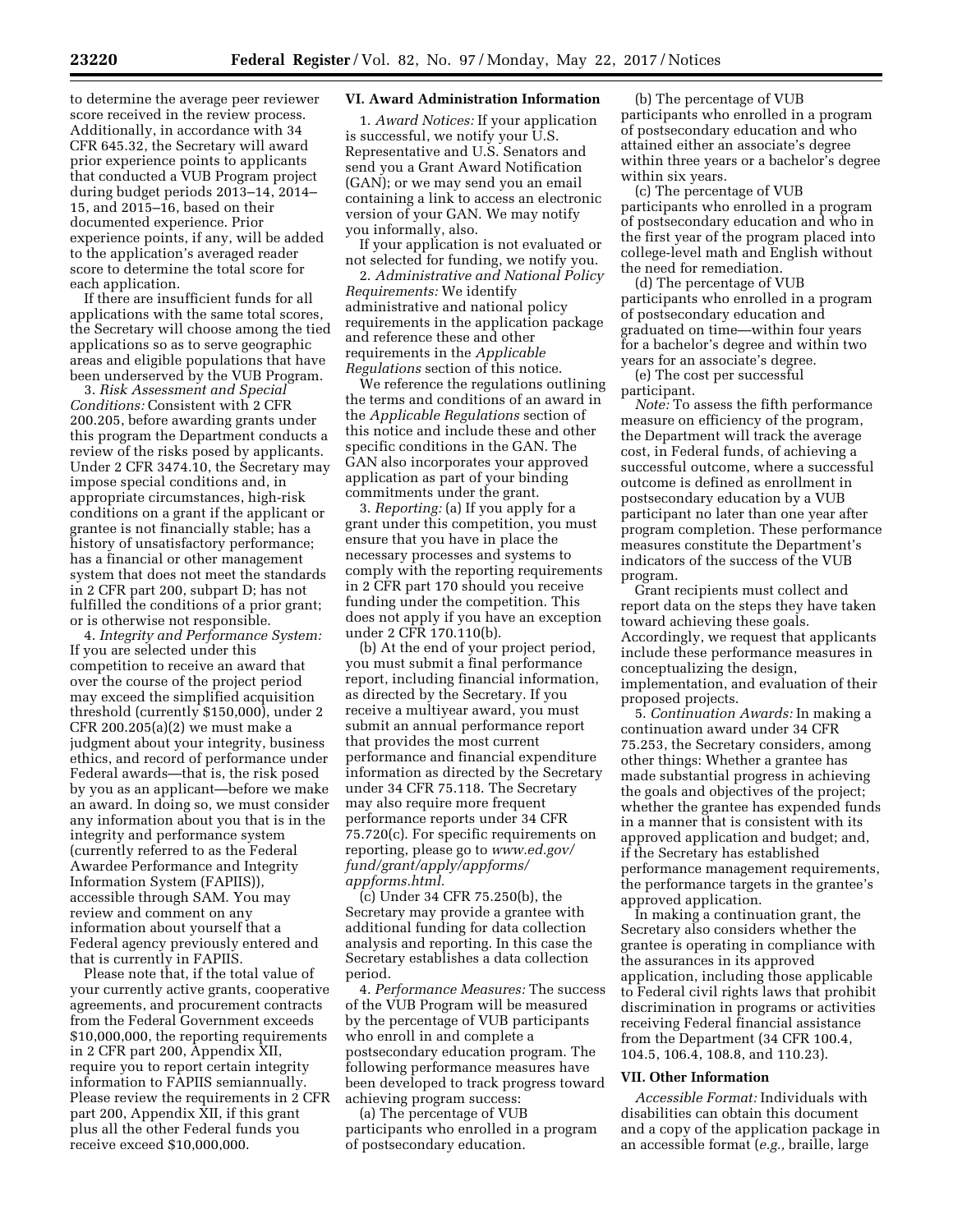to determine the average peer reviewer score received in the review process. Additionally, in accordance with 34 CFR 645.32, the Secretary will award prior experience points to applicants that conducted a VUB Program project during budget periods 2013–14, 2014– 15, and 2015–16, based on their documented experience. Prior experience points, if any, will be added to the application's averaged reader score to determine the total score for each application.

If there are insufficient funds for all applications with the same total scores, the Secretary will choose among the tied applications so as to serve geographic areas and eligible populations that have been underserved by the VUB Program.

3. *Risk Assessment and Special Conditions:* Consistent with 2 CFR 200.205, before awarding grants under this program the Department conducts a review of the risks posed by applicants. Under 2 CFR 3474.10, the Secretary may impose special conditions and, in appropriate circumstances, high-risk conditions on a grant if the applicant or grantee is not financially stable; has a history of unsatisfactory performance; has a financial or other management system that does not meet the standards in 2 CFR part 200, subpart D; has not fulfilled the conditions of a prior grant; or is otherwise not responsible.

4. *Integrity and Performance System:*  If you are selected under this competition to receive an award that over the course of the project period may exceed the simplified acquisition threshold (currently \$150,000), under 2 CFR 200.205(a)(2) we must make a judgment about your integrity, business ethics, and record of performance under Federal awards—that is, the risk posed by you as an applicant—before we make an award. In doing so, we must consider any information about you that is in the integrity and performance system (currently referred to as the Federal Awardee Performance and Integrity Information System (FAPIIS)), accessible through SAM. You may review and comment on any information about yourself that a Federal agency previously entered and that is currently in FAPIIS.

Please note that, if the total value of your currently active grants, cooperative agreements, and procurement contracts from the Federal Government exceeds \$10,000,000, the reporting requirements in 2 CFR part 200, Appendix XII, require you to report certain integrity information to FAPIIS semiannually. Please review the requirements in 2 CFR part 200, Appendix XII, if this grant plus all the other Federal funds you receive exceed \$10,000,000.

### **VI. Award Administration Information**

1. *Award Notices:* If your application is successful, we notify your U.S. Representative and U.S. Senators and send you a Grant Award Notification (GAN); or we may send you an email containing a link to access an electronic version of your GAN. We may notify you informally, also.

If your application is not evaluated or not selected for funding, we notify you.

2. *Administrative and National Policy Requirements:* We identify administrative and national policy requirements in the application package and reference these and other requirements in the *Applicable Regulations* section of this notice.

We reference the regulations outlining the terms and conditions of an award in the *Applicable Regulations* section of this notice and include these and other specific conditions in the GAN. The GAN also incorporates your approved application as part of your binding commitments under the grant.

3. *Reporting:* (a) If you apply for a grant under this competition, you must ensure that you have in place the necessary processes and systems to comply with the reporting requirements in 2 CFR part 170 should you receive funding under the competition. This does not apply if you have an exception under 2 CFR 170.110(b).

(b) At the end of your project period, you must submit a final performance report, including financial information, as directed by the Secretary. If you receive a multiyear award, you must submit an annual performance report that provides the most current performance and financial expenditure information as directed by the Secretary under 34 CFR 75.118. The Secretary may also require more frequent performance reports under 34 CFR 75.720(c). For specific requirements on reporting, please go to *[www.ed.gov/](http://www.ed.gov/fund/grant/apply/appforms/appforms.html) [fund/grant/apply/appforms/](http://www.ed.gov/fund/grant/apply/appforms/appforms.html) [appforms.html.](http://www.ed.gov/fund/grant/apply/appforms/appforms.html)* 

(c) Under 34 CFR 75.250(b), the Secretary may provide a grantee with additional funding for data collection analysis and reporting. In this case the Secretary establishes a data collection period.

4. *Performance Measures:* The success of the VUB Program will be measured by the percentage of VUB participants who enroll in and complete a postsecondary education program. The following performance measures have been developed to track progress toward achieving program success:

(a) The percentage of VUB participants who enrolled in a program of postsecondary education.

(b) The percentage of VUB participants who enrolled in a program of postsecondary education and who attained either an associate's degree within three years or a bachelor's degree within six years.

(c) The percentage of VUB participants who enrolled in a program of postsecondary education and who in the first year of the program placed into college-level math and English without the need for remediation.

(d) The percentage of VUB participants who enrolled in a program of postsecondary education and graduated on time—within four years for a bachelor's degree and within two years for an associate's degree.

(e) The cost per successful participant.

*Note:* To assess the fifth performance measure on efficiency of the program, the Department will track the average cost, in Federal funds, of achieving a successful outcome, where a successful outcome is defined as enrollment in postsecondary education by a VUB participant no later than one year after program completion. These performance measures constitute the Department's indicators of the success of the VUB program.

Grant recipients must collect and report data on the steps they have taken toward achieving these goals. Accordingly, we request that applicants include these performance measures in conceptualizing the design, implementation, and evaluation of their proposed projects.

5. *Continuation Awards:* In making a continuation award under 34 CFR 75.253, the Secretary considers, among other things: Whether a grantee has made substantial progress in achieving the goals and objectives of the project; whether the grantee has expended funds in a manner that is consistent with its approved application and budget; and, if the Secretary has established performance management requirements, the performance targets in the grantee's approved application.

In making a continuation grant, the Secretary also considers whether the grantee is operating in compliance with the assurances in its approved application, including those applicable to Federal civil rights laws that prohibit discrimination in programs or activities receiving Federal financial assistance from the Department (34 CFR 100.4, 104.5, 106.4, 108.8, and 110.23).

#### **VII. Other Information**

*Accessible Format:* Individuals with disabilities can obtain this document and a copy of the application package in an accessible format (*e.g.,* braille, large